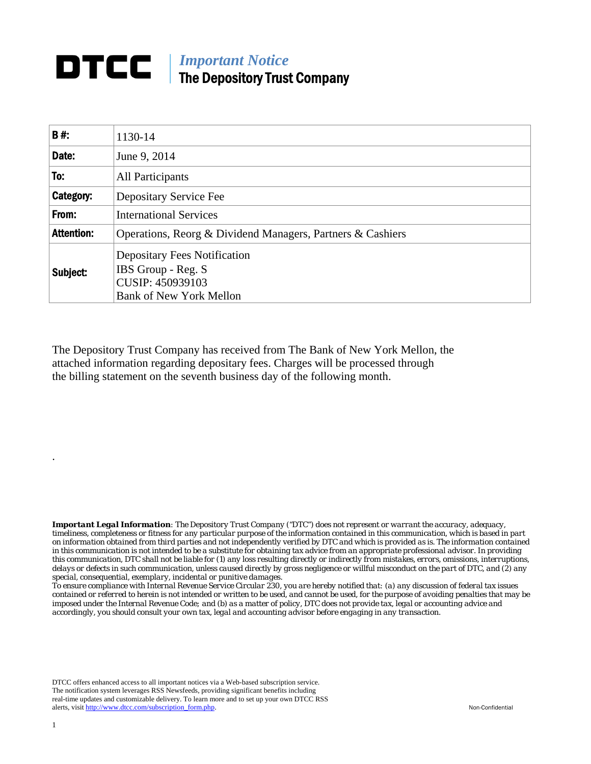## **DTCC** | *Important Notice* The Depository Trust Company

| B#:               | 1130-14                                                                                                         |
|-------------------|-----------------------------------------------------------------------------------------------------------------|
| Date:             | June 9, 2014                                                                                                    |
| To:               | All Participants                                                                                                |
| Category:         | Depositary Service Fee                                                                                          |
| From:             | <b>International Services</b>                                                                                   |
| <b>Attention:</b> | Operations, Reorg & Dividend Managers, Partners & Cashiers                                                      |
| Subject:          | <b>Depositary Fees Notification</b><br>IBS Group - Reg. S<br>CUSIP: 450939103<br><b>Bank of New York Mellon</b> |

The Depository Trust Company has received from The Bank of New York Mellon, the attached information regarding depositary fees. Charges will be processed through the billing statement on the seventh business day of the following month.

*Important Legal Information: The Depository Trust Company ("DTC") does not represent or warrant the accuracy, adequacy, timeliness, completeness or fitness for any particular purpose of the information contained in this communication, which is based in part on information obtained from third parties and not independently verified by DTC and which is provided as is. The information contained in this communication is not intended to be a substitute for obtaining tax advice from an appropriate professional advisor. In providing this communication, DTC shall not be liable for (1) any loss resulting directly or indirectly from mistakes, errors, omissions, interruptions, delays or defects in such communication, unless caused directly by gross negligence or willful misconduct on the part of DTC, and (2) any special, consequential, exemplary, incidental or punitive damages.* 

*To ensure compliance with Internal Revenue Service Circular 230, you are hereby notified that: (a) any discussion of federal tax issues contained or referred to herein is not intended or written to be used, and cannot be used, for the purpose of avoiding penalties that may be imposed under the Internal Revenue Code; and (b) as a matter of policy, DTC does not provide tax, legal or accounting advice and accordingly, you should consult your own tax, legal and accounting advisor before engaging in any transaction.*

DTCC offers enhanced access to all important notices via a Web-based subscription service. The notification system leverages RSS Newsfeeds, providing significant benefits including real-time updates and customizable delivery. To learn more and to set up your own DTCC RSS alerts, visit http://www.dtcc.com/subscription\_form.php. Non-Confidential

.